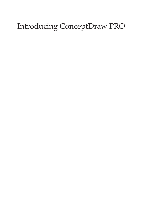# Introducing ConceptDraw PRO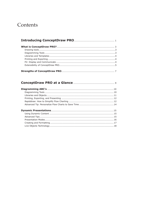# Contents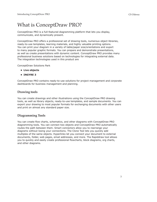# What is ConceptDraw PRO?

ConceptDraw PRO is a full-featured diagramming platform that lets you display, communicate, and dynamically present.

ConceptDraw PRO offers a professional set of drawing tools, numerous object libraries, ready-to-use templates, learning materials, and highly valuable printing options. You can print your diagram in a variety of table/paper size/orientations and export to many popular graphic formats. You can prepare and demonstrate presentations, as well as create presentations with dynamic content. ConceptDraw PRO provides many professional business solutions based on technologies for integrating external data. The integration technologies used in this product are

ConceptDraw Solutions Park

- **• Live objects**
- **• INGYRE 3**

ConceptDraw PRO contains ready-to-use solutions for project management and corporate dashboards for business management and planning.

# **Drawing tools**

You can create drawings and other illustrations using the ConceptDraw PRO drawing tools, as well as library objects, ready-to-use templates, and sample documents. You can export your drawing to most popular formats for exchanging documents with other users and print on almost any standard paper size.

# **Diagramming Tools**

You can create flow charts, schematics, and other diagrams with ConceptDraw PRO diagramming tools. You can connect two objects and ConceptDraw PRO automatically routes the path between them. Smart connectors allow you to rearrange your diagrams without losing your connections. The Clone Tool lets you quickly add multiples of the same objects. Hyperlinks let you connect your document to external documents, folder, web pages, email addresses, and more. The Rapiddraw tool allows you to quickly and easily create professional flowcharts, block diagrams, org charts, and other diagrams.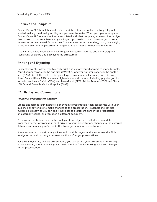# **Libraries and Templates**

ConceptDraw PRO templates and their associated libraries enable you to quickly get started making the drawing or diagram you want to make. When you open a template, ConceptDraw PRO opens the library associated with that template, so every library object that is used in that template is at your finger tips, ready to use. Library objects can also be customized and saved for later use. You can customize the scaling, color, line weight, label, and even the fill pattern of an object to use in later drawings and diagrams.

You can use Rapid Draw techniques to quickly create structures and block diagrams (consisting of blocks and displaying the structures).

# **Printing and Exporting**

ConceptDraw PRO allows you to easily print and export your diagrams to many formats. Your diagram canvas can be one size (24"x36"), and your printer paper can be another size (8.5x11); tell the tool to print your large canvas to smaller paper, and it is easily done. ConceptDraw PRO has many high-value export options, including popular graphic formats, such as MS Visio (VDX) and PowerPoint (PPT), Adobe Acrobat (PDF) and Flash (SWF), and Scalable Vector Graphics (SVG).

### **P2: Display and Communicate**

#### **Powerful Presentation Display**

Create and format your interactive or dynamic presentation, then collaborate with your audience or coworkers to make changes to the presentation. Presentations can use hyperlinks directly so you can easily navigate to a different part of the presentation, an external website, or even open a different document.

Dynamic presentation uses the technology of live objects to collect external data from the internet or from your hard drive into your presentation. Changes to the external data are automatically reflected in the live objects in your presentations.

Presentations can contain many slides and multiple pages, and you can use the Slide Navigator to quickly change between sections of larger presentations.

For a truly dynamic, flexible presentation, you can set up your presentation to display on a secondary monitor, leaving your main monitor free for making edits and changes to the presentation.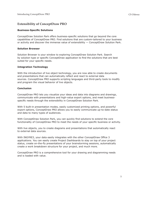# **Extensibility of ConceptDraw PRO**

#### **Business-Specific Solutions**

ConceptDraw Solution Park offers business-specific solutions that go beyond the core capabilities of ConceptDraw PRO. Find solutions that are custom-tailored to your business or activity and discover the immense value of extensibility — ConceptDraw Solution Park.

#### **Solution Browser**

Solution Browser is your window to exploring ConceptDraw Solution Park. Search by solution type or specific ConceptDraw application to find the solutions that are best suited for your specific needs.

#### **Integration Technology**

With the introduction of live object technology, you are now able to create documents and presentations that can automatically reflect and react to external data sources. ConceptDraw PRO supports scripting languages and third-party tools to modify and program the visual behavior of live objects.

#### **Conclusion**

ConceptDraw PRO lets you visualize your ideas and data into diagrams and drawings, communicate with presentations and high-value export options, and meet businessspecific needs through the extensibility in ConceptDraw Solution Park.

With 5 built-in presentation modes, easily customized printing options, and powerful export options, ConceptDraw PRO allows you to easily communicate up-to-date status and data to many types of audiences.

With ConceptDraw Solution Park, you can quickly find solutions to extend the core functionality of ConceptDraw PRO to meet the needs of your specific business or activity.

With live objects, you to create diagrams and presentations that automatically react to external data sources.

With INGYRE3, your data easily integrates with the other ConceptDraw Office 3 applications. You can easily create Project Dashboards to stay on top of your project status, create on-the-fly presentations of your brainstorming sessions, automatically create a work breakdown structure for your project, and much more.

ConceptDraw PRO is a comprehensive tool for your drawing and diagramming needs and is loaded with value.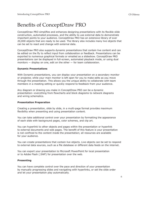# Benefits of ConceptDraw PRO

ConceptDraw PRO simplifies and enhances designing presentations with its flexible slide construction, automated processes, and the ability to use external data to demonstrate important points to your audience. ConceptDraw PRO has an extensive library of over 20,000 objects that are ready to be used. The library also includes many live objects that can be set to react and change with external data.

ConceptDraw PRO also supports dynamic presentations that contain live content and can be edited on the fly to reflect input from collaboration or feedback. Presentations can be exported to numerous graphical formats or emailed as a slideshow. ConceptDraw PRO presentations can be displayed in full-screen, automated playback mode, or using dual monitors — display on one, edit on the other — for team collaboration.

#### **Dynamic Presentations**

With Dynamic presentations, you can display your presentation on a secondary monitor or projector, while your main monitor is left open for you to make edits as you move through the presentation. This allows you the unique ability to collaborate with team members in a meeting setting or quickly respond to feedback from your audience.

Any diagram or drawing you make in ConceptDraw PRO can be a dynamic presentation—everything from flowcharts and block diagrams to network diagrams and wiring schematics.

#### **Presentation Preparation**

Creating a presentation, slide by slide, in a multi-page format provides maximum flexibility when presenting and using presentation content.

You can take additional control over your presentation by formatting the appearance of each slide with background pages, color schemes, and clip art.

You can hyperlink to other objects and pages within the presentation or hyperlink to external documents and web pages. The benefit of this feature is your presentation is not confined to the content inside the presentation; all resources are available for your audience.

You can create presentations that contain live objects. Live objects can be set to respond to external data sources, such as a file database or different data feeds on the internet.

You can export your presentation to Microsoft PowerPoint for local presentation or to Adobe Flash (.SWF) for presentation over the web.

#### **Presenting**

You can have complete control over the pace and direction of your presentation by manually progressing slides and navigating with hyperlinks, or set the slide order and let your presentation play automatically.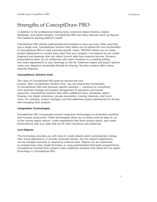# Strengths of ConceptDraw PRO

In addition to the professional drawing tools, extensive object libraries, helpful templates, and expert samples, ConceptDraw PRO has many features which go beyond the traditional drawing platform model.

ConceptDraw PRO utilizes sophisticated technologies to save you time, often requiring just a single click. ConceptDraw Solution Park allows you to extend the core functionality of ConceptDraw PRO to meet business-specific needs. INGYRE3 allows you to create project dashboards to visually track data from your projects. Live objects let you create diagrams and drawings that can reflect current data from external sources. Dynamic presentations allow you to collaborate with team members in a meeting setting and make adjustments to your drawings on the fly. Extensive import and export options make your diagrams remarkably flexible for sharing. No other product offers these powerful features.

#### **ConceptDraw Solution Park**

The value of ConceptDraw PRO goes far beyond the core product. With ConceptDraw Solution Park, you can extend the functionality of ConceptDraw PRO with business-specific solutions — solutions for everything from business strategy and project management to education and human resources. ConceptDraw Solution Park offers additional tools, templates, object libraries, live object collections, sample documents, training materials, and much more. For example, project managers can find additional project dashboards for driving and managing their projects.

#### **Integration Technologies**

ConceptDraw PRO incorporates several integration technologies to streamline workflow and increase productivity. These technologies allow you to utilize external data for up to the minute status reports, create dashboards that show project status, and create presentations with your data that can fit many situations and audiences.

#### **Live Objects**

This technology provides you with tools to create objects which automatically change their visual appearance or provide computed results. Any live object's appearance can be changed manually or respond to external data. Objects can be customized or programmed using simple formulas, or using sophisticated third-party programming. ConceptDraw Solution Park contains many additional solutions that utilize the live object technology in ConceptDraw PRO.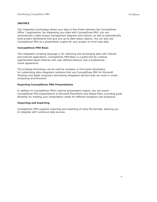#### **INGYRE3**

This integration technology allows your data to flow freely between the ConceptDraw Office 3 applications. By integrating your data with ConceptDraw PRO, you can automatically create project management diagrams and reports, as well as automatically build project dashboards that give you up-to-date status reports. You can also use ConceptDraw PRO as a presentation engine for your project or mind map data.

#### **ConceptDraw PRO Basic**

This integration scripting language is for collecting and exchanging data with internal and external applications. ConceptDraw PRO Basic is a great tool for creating sophisticated object libraries with user-defined behavior and a professional visual appearance.

The scripting technology can be used by company or third party developers for customizing data integration solutions that use ConceptDraw PRO for Microsoft Windows and Apple computers eliminating integration barriers that can exist in mixed computing environments.

#### **Exporting ConceptDraw PRO Presentations**

In addition to ConceptDraw PRO's internal presentation engine, you can export ConceptDraw PRO presentations to Microsoft PowerPoint and Adobe Flash, providing great flexibility for meeting your presentation needs for different situations and audiences.

#### **Importing and Exporting**

ConceptDraw PRO supports importing and exporting of many file formats, allowing you to integrate with numerous data sources.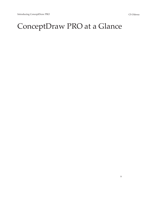# ConceptDraw PRO at a Glance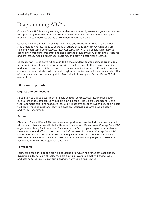# Diagramming ABC's

ConceptDraw PRO is a diagramming tool that lets you easily create diagrams in minutes to support any business communication process. You can create simple or complex drawings to communicate status or condition to your audience.

ConceptDraw PRO creates drawings, diagrams and charts with great visual appeal. It is simple to express ideas to share with others that quickly convey what you are thinking when using ConceptDraw PRO. ConceptDraw PRO is a spectacular, easy-touse tool for preparing presentations and business documentation, describing structures and processes, making schematic diagrams, and drawing technical sketches.

ConceptDraw PRO is powerful enough to be the standard-bearer business graphic tool for organizations of any size, producing rich visual documents that convey meaning and support company's internal and external communication needs. Graphic company communications include dashboards displaying key performance indicators and depiction of processes based on company data. From simple to complex, ConceptDraw PRO fills every niche.

# **Diagramming Tools**

#### **Objects and Connections**

In addition to a wide assortment of basic shapes, ConceptDraw PRO includes over 20,000 pre-made objects. Configurable drawing tools, like Smart Connectors, Clone tool, automatic color and texture fill tools, attribute eye dropper, hyperlinks, and flexible text tools, make it quick and easy to create professional diagrams that are clear and easily understood.

#### **Editing**

Objects in ConceptDraw PRO can be rotated, positioned one behind the other, aligned with one another and substituted with ease. You can modify and save ConceptDraw PRO objects to a library for future use. Objects that conform to your organization's identity save you time and effort. In addition to all of the color fill options, ConceptDraw PRO comes with many different textures to fill objects or you can scan your own sample texture and use it as an object fill. Text can be typed inside any object and easily be positioned to maximize object identification.

#### **Formatting**

Formatting tools include the drawing guideline grid which has "snap to" capabilities, dynamic guides to align objects, multiple drawing layers to simplify drawing tasks, and scaling to correctly size your drawing for any size circumstance .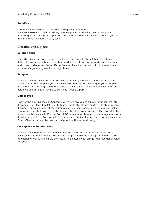#### **RapidDraw**

The RapidDraw feature that allows you to quickly assemble business charts with minimal effort, increasing your productivity and making you a drawing wizard. Hover on a placed object and directional arrows with object symbols make flowchart layouts an easy task.

# **Libraries and Objects**

#### **Solution Park**

The extensive collection of professional solutions provides templates that address different drawing activity areas such as work charts, flow charts, marketing diagrams, and business diagrams. ConceptDraw Solution Park has templates for just about any business diagramming need you might have.

#### **Samples**

ConceptDraw PRO contains a large collection of sample drawings and diagrams that correspond to the template you have selected. Sample documents give you examples of some of the amazing results that can be achieved with ConceptDraw PRO, and can help give you an idea of where to start with your diagram.

#### **Object Tools**

Many of the drawing tools in ConceptDraw PRO allow you to quickly input content into drawings. The Clone Tool lets you to take a single object and rapidly replicate it in your drawing. The Quick Connect tool automatically connects objects with just a few clicks. Formatting tools help you by easily aligning objects in your drawings. The powerful object search capabilities inside ConceptDraw PRO help you locate appropriate images for every drawing project type. For example, in the business object library, there are sophisticated Smart Objects that can be quickly configured as the entire drawing.

#### **ConceptDraw Solution Park**

ConceptDraw Solution Park contains many templates and libraries for more specific business diagramming needs. These libraries greatly extend ConceptDraw PRO's core functionality with just a simple download. This extensibility brings huge additional value to users.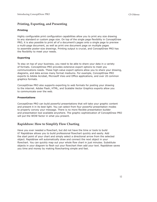# **Printing, Exporting, and Presenting**

#### **Printing**

Highly configurable print configuration capabilities allow you to print any size drawing to any standard or custom page size. On top of the single page flexibility in ConceptDraw PRO, it is also possible to print all of a document's pages onto a single page to preview a multi-page document, as well as print one document page on multiple pages to assemble poster-size drawings. Printing output is crucial, and ConceptDraw PRO has the flexibility to meet your needs.

#### **Exporting**

To stay on top of your business, you need to be able to share your data in a variety of formats. ConceptDraw PRO provides extensive export options to meet you communications needs. These high-value export options allow you to share your drawing, diagrams, and data across many format mediums. For example, ConceptDraw PRO exports to Adobe Acrobat, Microsoft Visio and Office applications, and over 20 common graphics formats.

ConceptDraw PRO also supports exporting to web formats for posting your drawing to the internet. Adobe Flash, HTML, and Scalable Vector Graphics exports allow you to communicate over the web.

#### **Presentations**

ConceptDraw PRO can build powerful presentations that will take your graphic content and present it in its best light. You can select from four powerful presentation modes to properly convey your message. There is no more flexible presentation builder and presentation tool available anywhere. The graphic sophistication of ConceptDraw PRO will put the WOW factor in what you present.

# **Rapiddraw: How to Simplify Flow Charting**

Have you ever needed a flowchart, but did not have the time or tools to build it? Rapiddraw allows you to build professional flowchart quickly and easily. Add the start point of your chart and simply select a directional arrow from the selected object. Rapiddraw will automatically draw and connect the next object in your flowchart. You can quickly map out your whole flow chart in just minutes. Substitute objects in your diagram to flesh out your flowchart then add your text. Rapiddraw saves you time and money by making flowcharting simple and fast.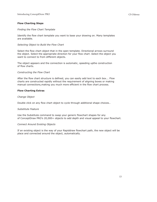#### **Flow Charting Steps**

#### *Finding the Flow Chart Template*

Identify the flow chart template you want to base your drawing on. Many templates are available.

#### *Selecting Object to Build the Flow Chart*

Select the flow chart object that in the open template. Directional arrows surround the object. Select the appropriate direction for your flow chart .Select the object you want to connect to from different objects.

The object appears and the connection is automatic, speeding upthe construction of flow charts.

#### *Constructing the Flow Chart*

After the flow chart structure is defined, you can easily add text to each box... Flow charts are constructed rapidly without the requirement of aligning boxes or making manual connections,making you much more efficient in the flow chart process.

#### **Flow Charting Extras**

#### *Change Object*

Double click on any flow chart object to cycle through additional shape choices..

#### *Substitute Feature*

Use the Substitute command to swap your generic flowchart shapes for any of ConceptDraw PRO's 20,000+ objects to add depth and visual appeal to your flowchart.

#### *Connect Around Existing Objects*

If an existing object is the way of your Rapiddraw flowchart path, the new object will be place and connected around the object, automatically.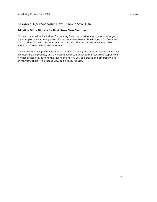# **Advanced Tip: Personalize Flow Charts to Save Time**

#### **Adapting Other Objects for Rapiddraw Flow Charting**

You can personalize Rapiddraw for creating flow charts using your customized objects. For example, you can use photos of your team members to build objects for flow chart construction. You will then see the flow chart with the person responsible for that operation at that point in the work flow.

You can even develop two flow charts that overlap using two different layers. One layer can describe the process, and the second layer can describe the resources responsible for that process. By turning the layers on and off, you can create two different views of your flow chart  $-$  a process view and a resource view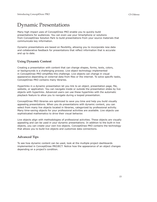# Dynamic Presentations

Many high impact uses of ConceptDraw PRO enable you to quickly build presentations for audiences. You can even use your Smartphone or solutions from ConceptDraw Solution Park to build presentations from your source materials that communicate key information.

Dynamic presentations are based on flexibility, allowing you to incorporate new data and collaborative feedback for presentations that reflect information that is accurate and up to date.

# **Using Dynamic Content**

Creating a presentation with content that can change shapes, forms, texts, colors, or backgrounds is a challenging process. Live object technology implemented in ConceptDraw PRO simplifies this challenge. Live objects can change in visual appearance depending on external data from files or the internet. To solve specific tasks, ConceptDraw PRO contains many libraries.

Hyperlinks in a dynamic presentation let you link to an object, presentation page, file, website, or application. You can navigate inside or outside the presentation slides by live objects with hyperlinks. Advanced users can use these hyperlinks with the automatic playback feature to allow you to navigate during a looped presentation.

ConceptDraw PRO libraries are optimized to save you time and help you build visually appealing presentations. When you do presentations with dynamic content, you can select from many live objects located in libraries, categorized by professional activity. Many time-saving objects for your professional activities are available. Live objects use sophisticated mathematics to drive their visual behavior.

Live objects align with methodologies of professional activities. These objects are visually appealing and can be used in your dynamic presentations. In addition to the built-in live objects, you can create your own live objects. ConceptDraw PRO contains the technology that allows you to build live objects and customize data connections.

# **Advanced Tips**

To see how dynamic content can be used, look at the multiple project dashboards implemented in ConceptDraw PROJECT. Notice how the appearance of an object changes depending on a project's condition.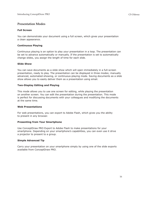### **Presentation Modes**

#### **Full Screen**

You can demonstrate your document using a full screen, which gives your presentation a clean appearance.

#### **Continuous Playing**

Continuous playing is an option to play your presentation in a loop. The presentation can be set to advance automatically or manually. If the presentation is set to automatically change slides, you assign the length of time for each slide.

#### **Slide Show**

You can save documents as a slide show which will open immediately in a full-screen presentation, ready to play. The presentation can be displayed in three modes; manually advanced, automated-showing, or continuous-playing mode. Saving documents as a slide show allows you to easily deliver them as a presentation using email.

#### **Two-Display Editing and Playing**

This mode allows you to use one screen for editing, while playing the presentation on another screen. You can edit the presentation during the presentation. This mode is perfect for discussing documents with your colleagues and modifying the documents at the same time.

#### **Web Presentations**

For web presentations, you can export to Adobe Flash, which gives you the ability to present in any browser.

#### **Presenting from Your Smartphone**

Use ConceptDraw PRO Export to Adobe Flash to make presentations for your smartphone. Depending on your smartphone's capabilities, you can even use it drive a projector to present to a group.

#### **Simple Advanced Tip**

Carry your presentation on your smartphone simply by using one of the slide exports available from ConceptDraw PRO.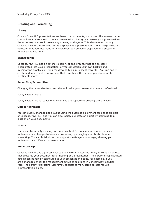### **Creating and Formatting**

#### **Library**

ConceptDraw PRO presentations are based on documents, not slides. This means that no special format is required to create presentations. Design and create your presentations the same way you would create any drawing or diagram. This also means that any ConceptDraw PRO document can be displayed as a presentation. The 20-page flowchart collection that you just made with RapidDraw can be easily displayed on a projector to present to your team.

#### **Backgrounds**

ConceptDraw PRO has an extensive library of backgrounds that can be easily incorporated into your presentation, or you can design your own background by importing graphics or using the drawing tools in ConceptDraw PRO. You can easily create and implement a background that complies with your company's corporate identity standards.

#### **Paper Size/Screen Size**

Changing the paper size to screen size will make your presentation more professional.

"Copy Paste in Place"

"Copy Paste in Place" saves time when you are repeatedly building similar slides.

#### **Object Alignment**

You can quickly manage page layout using the automatic alignment tools that are part of ConceptDraw PRO, and you can also rapidly duplicate an object by stamping to a location on your documents.

#### **Layers**

Use layers to simplify existing document content for presentations. Also use layers to demonstrate changes to baseline processes, by changing what is visible when presenting. You can build slides that support multi-layers on a page, allowing you to demonstrate different business states.

#### **Advanced Tip**

ConceptDraw PRO is a professional solution with an extensive library of complex objects that prepares your document for a meeting or a presentation. The library of sophisticated objects can be rapidly configured to your presentation needs. For example, if you are a manager, check the management activities solutions in ConceptDraw Solution Park. The library, "Marketing Diagrams", consists of many large objects for use in presentation slides.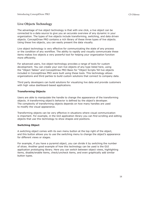# **Live Objects Technology**

The advantage of live object technology is that with one click, a live object can be connected to a data source to give you an accurate overview of any dynamic in your organization. The types of live objects include transforming, switching, and data driven objects. ConceptDraw PRO contains a rich library of these three types of live objects. Using these live objects, you can easily present the data visually.

Live object technology is very effective for communicating the state of any process or the condition of any workflow. The ability to rapidly and visually communicate these items makes live objects a very powerful tool for helping your organization function more efficiently.

For advanced users, live object technology provides a range of tools for custom development. You can create your own live objects of any type listed here, using the "Object Tables" and ConceptDraw PRO Basic for "Object Scripts."All live objects included in ConceptDraw PRO were built using these tools. This technology allows organizations and third parties to build custom solutions that connect to company data.

Third party developers can build solutions for visualizing live data and provide customers with high value dashboard-based applications.

#### **Transforming Objects**

Users are able to manipulate the handle to change the appearance of the transforming objects. A transforming object's behavior is defined by the object's developer. The complexity of transforming objects depends on how many handles are used to modify the visual appearance.

Transforming objects can be very effective in situations where visual communication is important. For example, in the GUI application library you can find scrolling and editing objects that use this technology to show shapes and positions.

#### **Switching Object**

A switching object comes with its own menu button at the top right of the object, and this button allows you to use the switching menu to change the object's appearance for different views or stages.

For example, if you have a pyramid object, you can divide it by switching the number of slices. Another good example of how this technology can be used is the GUI application prototyping library. Here you can switch between object views, highlighting items, disable/enable items, check/uncheck items, and even graphically add similar button types.